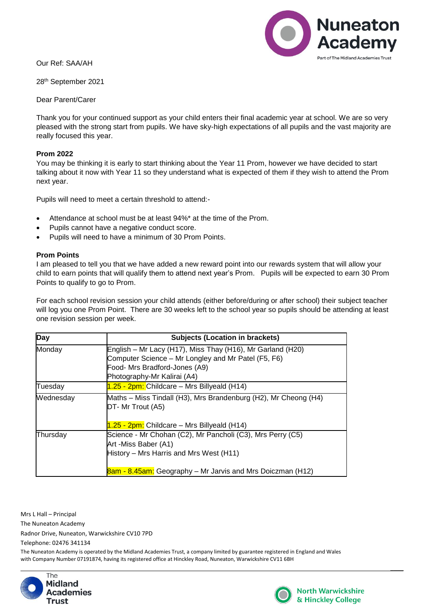Our Ref: SAA/AH

28th September 2021

Dear Parent/Carer

Thank you for your continued support as your child enters their final academic year at school. We are so very pleased with the strong start from pupils. We have sky-high expectations of all pupils and the vast majority are really focused this year.

## **Prom 2022**

You may be thinking it is early to start thinking about the Year 11 Prom, however we have decided to start talking about it now with Year 11 so they understand what is expected of them if they wish to attend the Prom next year.

Pupils will need to meet a certain threshold to attend:-

- Attendance at school must be at least 94%\* at the time of the Prom.
- Pupils cannot have a negative conduct score.
- Pupils will need to have a minimum of 30 Prom Points.

## **Prom Points**

I am pleased to tell you that we have added a new reward point into our rewards system that will allow your child to earn points that will qualify them to attend next year's Prom. Pupils will be expected to earn 30 Prom Points to qualify to go to Prom.

For each school revision session your child attends (either before/during or after school) their subject teacher will log you one Prom Point. There are 30 weeks left to the school year so pupils should be attending at least one revision session per week.

| <b>Day</b> | <b>Subjects (Location in brackets)</b>                          |
|------------|-----------------------------------------------------------------|
| Monday     | English – Mr Lacy (H17), Miss Thay (H16), Mr Garland (H20)      |
|            | Computer Science – Mr Longley and Mr Patel (F5, F6)             |
|            | Food- Mrs Bradford-Jones (A9)                                   |
|            | Photography-Mr Kalirai (A4)                                     |
| Tuesday    | $1.25 - 2pm$ : Childcare – Mrs Billyeald (H14)                  |
| Wednesday  | Maths - Miss Tindall (H3), Mrs Brandenburg (H2), Mr Cheong (H4) |
|            | DT- Mr Trout (A5)                                               |
|            | 1.25 - 2pm: Childcare – Mrs Billyeald (H14)                     |
| Thursday   | Science - Mr Chohan (C2), Mr Pancholi (C3), Mrs Perry (C5)      |
|            | Art -Miss Baber (A1)                                            |
|            | History - Mrs Harris and Mrs West (H11)                         |
|            | 8am - 8.45am: Geography – Mr Jarvis and Mrs Doiczman (H12)      |

Mrs L Hall – Principal

The Nuneaton Academy

Radnor Drive, Nuneaton, Warwickshire CV10 7PD

Telephone: 02476 341134

The Nuneaton Academy is operated by the Midland Academies Trust, a company limited by guarantee registered in England and Wales with Company Number 07191874, having its registered office at Hinckley Road, Nuneaton, Warwickshire CV11 6BH





 $\overline{\phantom{a}}$